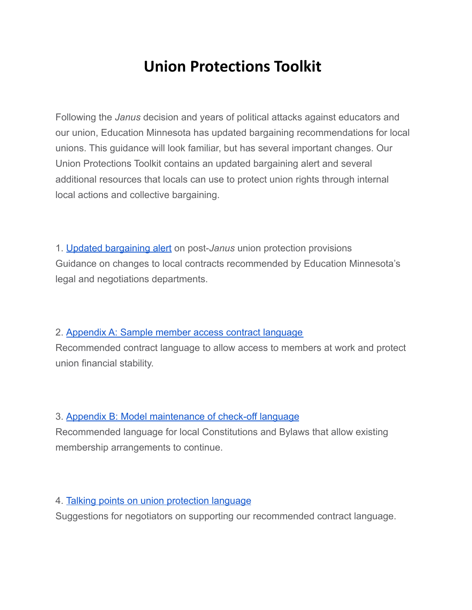# **Union Protections Toolkit**

Following the *Janus* decision and years of political attacks against educators and our union, Education Minnesota has updated bargaining recommendations for local unions. This guidance will look familiar, but has several important changes. Our Union Protections Toolkit contains an updated bargaining alert and several additional resources that locals can use to protect union rights through internal local actions and collective bargaining.

1. Updated [bargaining](https://test-educationminnesota-com.pantheonsite.io/wp-content/uploads/2021/09/Union-Protections-Bargaining-Alert.docx) alert on post-*Janus* union protection provisions Guidance on changes to local contracts recommended by Education Minnesota's legal and negotiations departments.

### 2. [Appendix](https://test-educationminnesota-com.pantheonsite.io/wp-content/uploads/2021/09/Union-protections-sample-contract-language.docx) A: Sample member access contract language

Recommended contract language to allow access to members at work and protect union financial stability.

## 3. Appendix B: Model [maintenance](https://test-educationminnesota-com.pantheonsite.io/wp-content/uploads/2021/09/Maintenance-of-checkoff-language.docx) of check-off language

Recommended language for local Constitutions and Bylaws that allow existing membership arrangements to continue.

### 4. Talking points on union [protection](https://test-educationminnesota-com.pantheonsite.io/wp-content/uploads/2021/09/Union-protection-talking-points.docx) language

Suggestions for negotiators on supporting our recommended contract language.